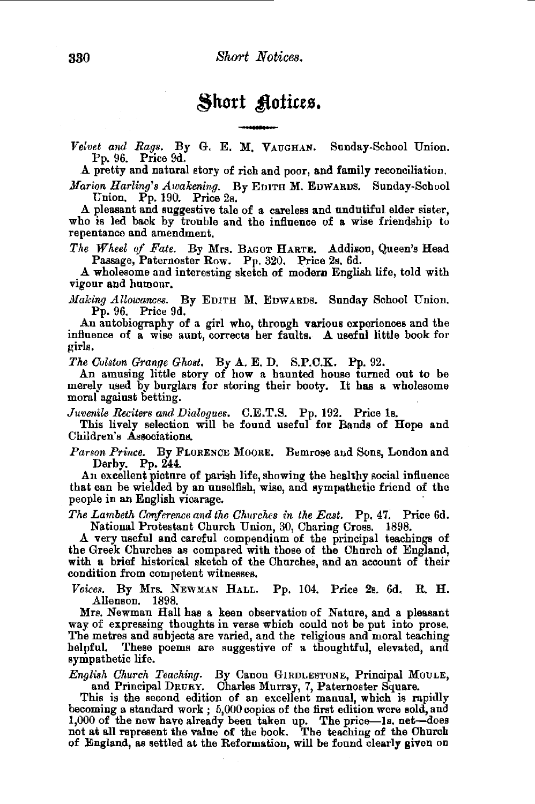Short **Actices.**<br>Velvet and Rags. By G. E. M. VAUGHAN. Sunday-School Union. Pp. 96. Price 9d.

A pretty and natural story of rich and poor, and family reconciliation.

*Marion Harling's Awakening.* By EDITH M. EDWARDS. Sunday-School Union. Pp. 190. Price 2s.

A pleasant and suggestive tale of a careless and undutiful elder sister, who is led back by trouble and the influence of a wise friendship to repentance and amendment.

*The Wheel of Fate.* By Mrs. BAGOT HARTE, Addison, Queen's Head Passage, Paternoster Row. Pp. 320. Price 2s. 6d.

A wholesome and interesting sketch of modem English life, told with vigour and humour.

*Making Allowances.* By EDITH M. EDWARDS. Sunday School Union. Pp. 96. Price 9d.

An autobiography of a girl who, through various experiences and the influence of a wise aunt, corrects her faults. A useful little book for girls.

*The Colstoo G'range Gho8t.* By A. E. D. S.P.C.K. Pp. 92.

An amusing little story of how a haunted house turned out to be merely used by burglars for storing their booty. It has a wholesome moral against betting. .

*Juvenile Reciter8 and Dialogues.* C.E.T.S. Pp. 192. Price ls.

This lively selection will be found useful for Bands of Hope and Children's Associations.

*Parson Prince.* By FLORENCE MooRE. Bemrose and Sons, London and Derby. Pp. 244.

An excellent picture of parish life, showing the healthy social influence that can be wielded by an unselfish, wise, and sympathetic friend of the people in an English vicarage.

*The Lambeth Cooference and the Churches in the East.* Pp. 47. Price 6d. National Protestant Church Union, 30, Charing Cross. 1898.

.A. very useful and careful compendium of the principal teachings of the Greek Churches as compared with those of the Church of England, with a brief historical sketch of the Churches, and an account of their condition from competent witnesses.

*Voices.* By Mrs. NEWMAN HALL. Pp. 104. Price 2s. 6d. R. **H.**  Allenson. 1898.

Mrs. Newman Hall has a keen observation of Nature, and a pleasant way of expressing thoughts in verse which could not be put into prose. Tbe metres and subjects are varied, and the religious and moral teaching helpful. These poems are suggestive of a thoughtful, elevated, and sympathetic life.

*Engli8h Church Teaching.* By Canon GlRDLESTONE, Principal MoULE, and Principal DRURY. Charles Murray, 7, Paternoster Square.

This is the second edition of an excellent manual, which is rapidly becoming a standard work ; 5,000 copies of the first edition were sold, and 1,000 of the new have already been taken up. The price-Is. net-does not at all represent the value of the book. The teaching of the Church of England, as settled at the Reformation, will be found clearly given on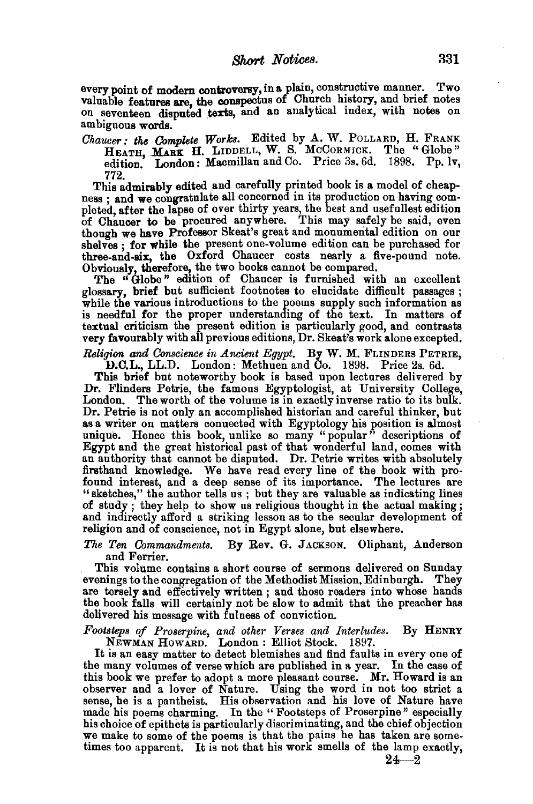every point of modern controversy, in a plain, constructive manner. Two valuable features are, the conspectus of Church history, and brief notes on seventeen disputed texts, and an analytical index, with notes on ambiguous words.

*Chaucer: the Complete Works.* Edited by A. W. PoLLARD, H. FRANK HEATH, MARK H. LIDDELL, W. S. MCCORMICK. The "Globe" edition. London: Macmillan and Co. Price 3s. 6d. 1898. Pp. lv.

772. This admirably edited and carefully printed book is a model of cheapness; and we congratulate all concerned in its production on having com-<br>pleted, after the lapse of over thirty years, the best and usefullest edition<br>of Chaucer to be procured anywhere. This may safely be said, even though we have Professor Skeat's great and monumental edition on our shelves : for while the present one-volume edition can be purchased for three-and-six, the Oxford Chaucer costs nearly a five-pound note. Obviously, therefore, the two books cannot be compared.

The "Globe" edition of Chaucer is furnished with an excellent glossary, brief but sufficient footnotes to elucidate difficult passages;<br>while the various introductions to the poems supply such information as is needful for the proper understanding of the text. In matters of textual criticism the present edition is particularly good, and contrasts very favourably with all previous editions, Dr. Skeat's work alone excepted.

*Religion and Conscience in Ancient Egypt.* By W. M. FLINDERS PETRIE, D.C.L., LL.D. London: Methuen and Co. 1898. Price 2s. 6d.

This brief but noteworthy book is based upon lectures delivered by Dr. Flinders Petrie, the famous Egyptologist, at University College, London. The worth of the volume is in exactly inverse ratio to its bulk.<br>Dr. Petrie is not only an accomplished historian and careful thinker, but Dr. Petrie is not only an accomplished historian and careful thinker, but as a writer on matters connected with Egyptology his position is almost unique. Hence this book, unlike so many "popular" descriptions of Egypt and the great historical past of that wonderful land, comes with an authority that cannot be disputed. Dr. Petrie writes with absolutely firsthand knowledge. We have read every line of the book with pro-"sketches," the author tells us ; but they are valuable as indicating lines of study ; they help to show us religious thought in the actual making ; and indirectly afford a striking lesson as to the secular development of religion and of conscience, not in Egypt alone, but elsewhere.

*The Ten Commandments.* By Rev. G. JACKSON. Oliphant, Anderson

This volume contains a short course of sermons delivered on Sunday evenings to the congregation of the Methodist Mission, Edinburgh. They are tersely and effectively written; and those readers into whose hands the book falls will certainly not be slow to admit that the preacher has delivered his message with fuluess of conviction.

*Footsteps of Proserpine, and other Verses and Interludes.* By HENRY NEWMAN HOWARD. London: Elliot Stock. 1897.

It is an easy matter to detect blemishes and find faults in every one of the many volumes of verse which are published in a year. In the case of this book we prefer to adopt a more pleasant course. Mr. Howard is an observer and a lover of Nature. Using the word in not too strict a sense, he is a pantheist. His observation and his love of Nature have made his poems charming. In the " Footsteps of Proserpine" especially his choice of epithets is particularly discriminating, and the chief objection we make to some of the poems is that the pains he has taken are some-<br>times too apparent. It is not that his work smells of the lamp exactly,

 $24 - 2$